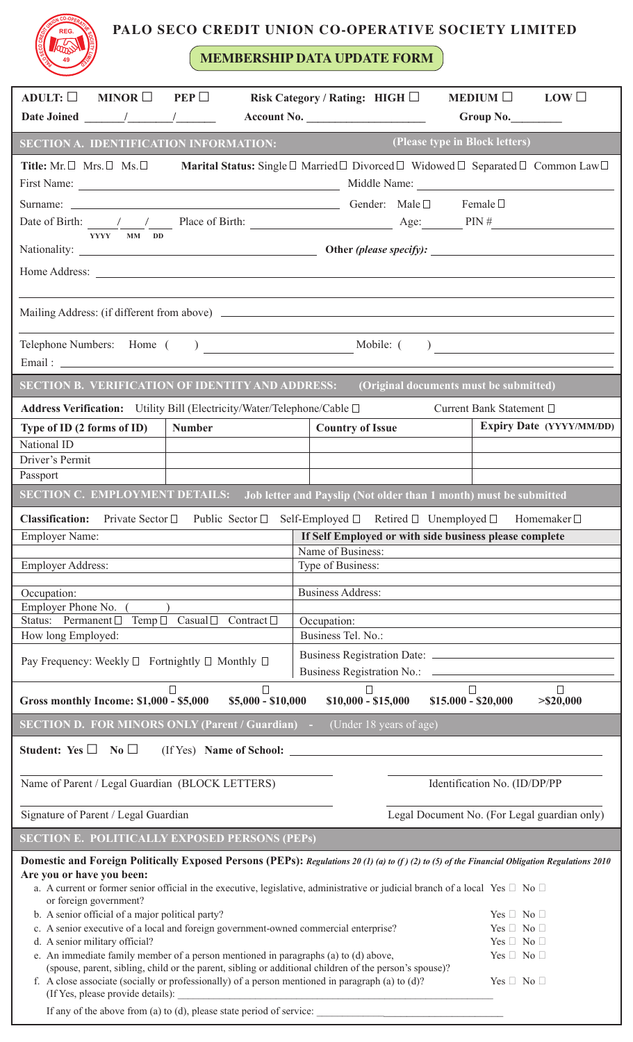## **PALO SECO CREDIT UNION CO-OPERATIVE SOCIETY LIMITED**

**MEMBERSHIP DATA UPDATE FORM**

**REGISTED REG.**

**49**

| ADULT: $\square$<br>MINOR $\Box$<br>PEP                                                                                                                                                                                                                                                                                                                                                                               | Risk Category / Rating: HIGH □                         | $MEDIUM$<br>LOW                              |  |
|-----------------------------------------------------------------------------------------------------------------------------------------------------------------------------------------------------------------------------------------------------------------------------------------------------------------------------------------------------------------------------------------------------------------------|--------------------------------------------------------|----------------------------------------------|--|
|                                                                                                                                                                                                                                                                                                                                                                                                                       | <b>Account No.</b> Account No.                         | Group No.                                    |  |
| SECTION A. IDENTIFICATION INFORMATION:                                                                                                                                                                                                                                                                                                                                                                                |                                                        | (Please type in Block letters)               |  |
| Title: Mr. $\Box$ Mrs. $\Box$ Ms. $\Box$ <b>Marital Status:</b> Single $\Box$ Married $\Box$ Divorced $\Box$ Widowed $\Box$ Separated $\Box$ Common Law $\Box$                                                                                                                                                                                                                                                        |                                                        |                                              |  |
|                                                                                                                                                                                                                                                                                                                                                                                                                       |                                                        |                                              |  |
|                                                                                                                                                                                                                                                                                                                                                                                                                       |                                                        |                                              |  |
| Date of Birth: $\frac{1}{\sqrt{1-\frac{1}{\sqrt{1-\frac{1}{\sqrt{1-\frac{1}{\sqrt{1-\frac{1}{\sqrt{1-\frac{1}{\sqrt{1-\frac{1}{\sqrt{1-\frac{1}{\sqrt{1-\frac{1}{\sqrt{1-\frac{1}{\sqrt{1-\frac{1}{\sqrt{1-\frac{1}{\sqrt{1-\frac{1}{\sqrt{1-\frac{1}{\sqrt{1-\frac{1}{\sqrt{1-\frac{1}{\sqrt{1-\frac{1}{\sqrt{1-\frac{1}{\sqrt{1-\frac{1}{\sqrt{1-\frac{1}{\sqrt{1-\frac{1}{\sqrt{1-\frac{1}{\sqrt{1-\frac{1}{\sqrt$ |                                                        |                                              |  |
| YYYY MM DD                                                                                                                                                                                                                                                                                                                                                                                                            |                                                        |                                              |  |
|                                                                                                                                                                                                                                                                                                                                                                                                                       |                                                        |                                              |  |
|                                                                                                                                                                                                                                                                                                                                                                                                                       |                                                        |                                              |  |
|                                                                                                                                                                                                                                                                                                                                                                                                                       |                                                        |                                              |  |
| <b>SECTION B. VERIFICATION OF IDENTITY AND ADDRESS:</b><br>(Original documents must be submitted)                                                                                                                                                                                                                                                                                                                     |                                                        |                                              |  |
| Address Verification: Utility Bill (Electricity/Water/Telephone/Cable □                                                                                                                                                                                                                                                                                                                                               |                                                        | Current Bank Statement □                     |  |
| <b>Number</b><br>Type of ID (2 forms of ID)                                                                                                                                                                                                                                                                                                                                                                           | <b>Country of Issue</b>                                | Expiry Date (YYYY/MM/DD)                     |  |
| National ID                                                                                                                                                                                                                                                                                                                                                                                                           |                                                        |                                              |  |
| Driver's Permit                                                                                                                                                                                                                                                                                                                                                                                                       |                                                        |                                              |  |
| Passport                                                                                                                                                                                                                                                                                                                                                                                                              |                                                        |                                              |  |
| <b>SECTION C. EMPLOYMENT DETAILS:</b> Job letter and Payslip (Not older than 1 month) must be submitted                                                                                                                                                                                                                                                                                                               |                                                        |                                              |  |
| <b>Classification:</b><br>Private Sector □ Public Sector □ Self-Employed □ Retired □ Unemployed □ Homemaker □                                                                                                                                                                                                                                                                                                         |                                                        |                                              |  |
| <b>Employer Name:</b>                                                                                                                                                                                                                                                                                                                                                                                                 | If Self Employed or with side business please complete |                                              |  |
|                                                                                                                                                                                                                                                                                                                                                                                                                       | Name of Business:                                      |                                              |  |
| <b>Employer Address:</b>                                                                                                                                                                                                                                                                                                                                                                                              | Type of Business:                                      |                                              |  |
| Occupation:                                                                                                                                                                                                                                                                                                                                                                                                           | <b>Business Address:</b>                               |                                              |  |
| Employer Phone No.<br>Status: Permanent □                                                                                                                                                                                                                                                                                                                                                                             | Contract $\Box$                                        |                                              |  |
| Temp $\Box$<br>$\text{Casual}\ \Box$<br>How long Employed:                                                                                                                                                                                                                                                                                                                                                            | Occupation:<br>Business Tel. No.:                      |                                              |  |
|                                                                                                                                                                                                                                                                                                                                                                                                                       |                                                        |                                              |  |
| Pay Frequency: Weekly $\Box$ Fortnightly $\Box$ Monthly $\Box$                                                                                                                                                                                                                                                                                                                                                        |                                                        |                                              |  |
| $\Box$<br>$\Box$<br>$\Box$<br>$\Box$<br>$\Box$<br>$$15.000 - $20,000$<br>Gross monthly Income: \$1,000 - \$5,000<br>$$5,000 - $10,000$<br>$$10,000 - $15,000$<br>$>$ \$20,000                                                                                                                                                                                                                                         |                                                        |                                              |  |
| <b>SECTION D. FOR MINORS ONLY (Parent / Guardian)</b> -<br>(Under 18 years of age)                                                                                                                                                                                                                                                                                                                                    |                                                        |                                              |  |
| Student: Yes $\Box$<br>$\overline{\text{No}}$<br>(If Yes) Name of School:                                                                                                                                                                                                                                                                                                                                             |                                                        |                                              |  |
| Name of Parent / Legal Guardian (BLOCK LETTERS)                                                                                                                                                                                                                                                                                                                                                                       |                                                        | Identification No. (ID/DP/PP                 |  |
| Signature of Parent / Legal Guardian                                                                                                                                                                                                                                                                                                                                                                                  |                                                        | Legal Document No. (For Legal guardian only) |  |
| <b>SECTION E. POLITICALLY EXPOSED PERSONS (PEPS)</b>                                                                                                                                                                                                                                                                                                                                                                  |                                                        |                                              |  |
| Domestic and Foreign Politically Exposed Persons (PEPs): Regulations 20 (1) (a) to (f) (2) to (5) of the Financial Obligation Regulations 2010                                                                                                                                                                                                                                                                        |                                                        |                                              |  |
| Are you or have you been:<br>a. A current or former senior official in the executive, legislative, administrative or judicial branch of a local Yes $\Box$ No $\Box$<br>or foreign government?                                                                                                                                                                                                                        |                                                        |                                              |  |
| b. A senior official of a major political party?                                                                                                                                                                                                                                                                                                                                                                      |                                                        | Yes $\Box$ No $\Box$                         |  |
| c. A senior executive of a local and foreign government-owned commercial enterprise?<br>Yes $\Box$ No $\Box$<br>d. A senior military official?<br>Yes $\Box$ No $\Box$                                                                                                                                                                                                                                                |                                                        |                                              |  |
| e. An immediate family member of a person mentioned in paragraphs (a) to (d) above,<br>Yes $\Box$ No $\Box$                                                                                                                                                                                                                                                                                                           |                                                        |                                              |  |
| (spouse, parent, sibling, child or the parent, sibling or additional children of the person's spouse)?<br>f. A close associate (socially or professionally) of a person mentioned in paragraph (a) to $(d)$ ?<br>$Yes \Box No \Box$                                                                                                                                                                                   |                                                        |                                              |  |
| (If Yes, please provide details):<br>If any of the above from (a) to (d), please state period of service:                                                                                                                                                                                                                                                                                                             |                                                        |                                              |  |